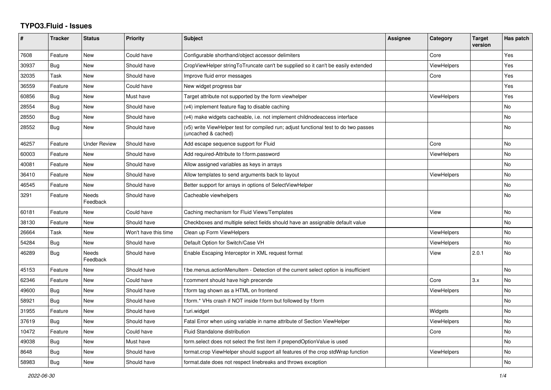## **TYPO3.Fluid - Issues**

| #     | Tracker    | <b>Status</b>       | <b>Priority</b>      | Subject                                                                                                     | <b>Assignee</b> | Category           | <b>Target</b><br>version | Has patch |
|-------|------------|---------------------|----------------------|-------------------------------------------------------------------------------------------------------------|-----------------|--------------------|--------------------------|-----------|
| 7608  | Feature    | New                 | Could have           | Configurable shorthand/object accessor delimiters                                                           |                 | Core               |                          | Yes       |
| 30937 | Bug        | <b>New</b>          | Should have          | CropViewHelper stringToTruncate can't be supplied so it can't be easily extended                            |                 | ViewHelpers        |                          | Yes       |
| 32035 | Task       | <b>New</b>          | Should have          | Improve fluid error messages                                                                                |                 | Core               |                          | Yes       |
| 36559 | Feature    | <b>New</b>          | Could have           | New widget progress bar                                                                                     |                 |                    |                          | Yes       |
| 60856 | Bug        | New                 | Must have            | Target attribute not supported by the form viewhelper                                                       |                 | ViewHelpers        |                          | Yes       |
| 28554 | Bug        | New                 | Should have          | (v4) implement feature flag to disable caching                                                              |                 |                    |                          | No        |
| 28550 | Bug        | New                 | Should have          | (v4) make widgets cacheable, i.e. not implement childnodeaccess interface                                   |                 |                    |                          | No        |
| 28552 | <b>Bug</b> | New                 | Should have          | (v5) write ViewHelper test for compiled run; adjust functional test to do two passes<br>(uncached & cached) |                 |                    |                          | No        |
| 46257 | Feature    | <b>Under Review</b> | Should have          | Add escape sequence support for Fluid                                                                       |                 | Core               |                          | <b>No</b> |
| 60003 | Feature    | <b>New</b>          | Should have          | Add required-Attribute to f:form.password                                                                   |                 | <b>ViewHelpers</b> |                          | <b>No</b> |
| 40081 | Feature    | <b>New</b>          | Should have          | Allow assigned variables as keys in arrays                                                                  |                 |                    |                          | No        |
| 36410 | Feature    | New                 | Should have          | Allow templates to send arguments back to layout                                                            |                 | <b>ViewHelpers</b> |                          | <b>No</b> |
| 46545 | Feature    | New                 | Should have          | Better support for arrays in options of SelectViewHelper                                                    |                 |                    |                          | No        |
| 3291  | Feature    | Needs<br>Feedback   | Should have          | Cacheable viewhelpers                                                                                       |                 |                    |                          | No        |
| 60181 | Feature    | New                 | Could have           | Caching mechanism for Fluid Views/Templates                                                                 |                 | View               |                          | No        |
| 38130 | Feature    | <b>New</b>          | Should have          | Checkboxes and multiple select fields should have an assignable default value                               |                 |                    |                          | <b>No</b> |
| 26664 | Task       | New                 | Won't have this time | Clean up Form ViewHelpers                                                                                   |                 | <b>ViewHelpers</b> |                          | <b>No</b> |
| 54284 | Bug        | New                 | Should have          | Default Option for Switch/Case VH                                                                           |                 | ViewHelpers        |                          | No        |
| 46289 | <b>Bug</b> | Needs<br>Feedback   | Should have          | Enable Escaping Interceptor in XML request format                                                           |                 | View               | 2.0.1                    | No        |
| 45153 | Feature    | New                 | Should have          | f:be.menus.actionMenuItem - Detection of the current select option is insufficient                          |                 |                    |                          | No        |
| 62346 | Feature    | New                 | Could have           | f:comment should have high precende                                                                         |                 | Core               | 3.x                      | <b>No</b> |
| 49600 | <b>Bug</b> | <b>New</b>          | Should have          | f:form tag shown as a HTML on frontend                                                                      |                 | ViewHelpers        |                          | <b>No</b> |
| 58921 | Bug        | New                 | Should have          | f:form.* VHs crash if NOT inside f:form but followed by f:form                                              |                 |                    |                          | <b>No</b> |
| 31955 | Feature    | New                 | Should have          | f:uri.widget                                                                                                |                 | Widgets            |                          | No        |
| 37619 | Bug        | <b>New</b>          | Should have          | Fatal Error when using variable in name attribute of Section ViewHelper                                     |                 | ViewHelpers        |                          | <b>No</b> |
| 10472 | Feature    | New                 | Could have           | Fluid Standalone distribution                                                                               |                 | Core               |                          | No        |
| 49038 | Bug        | New                 | Must have            | form select does not select the first item if prependOptionValue is used                                    |                 |                    |                          | No        |
| 8648  | Bug        | <b>New</b>          | Should have          | format.crop ViewHelper should support all features of the crop stdWrap function                             |                 | ViewHelpers        |                          | <b>No</b> |
| 58983 | Bug        | <b>New</b>          | Should have          | format.date does not respect linebreaks and throws exception                                                |                 |                    |                          | <b>No</b> |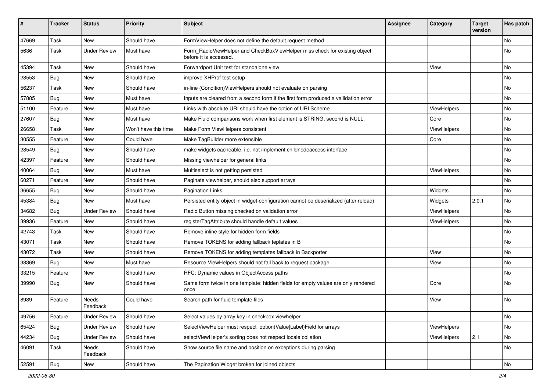| $\sharp$ | <b>Tracker</b> | <b>Status</b>       | <b>Priority</b>      | Subject                                                                                              | <b>Assignee</b> | Category    | <b>Target</b><br>version | Has patch |
|----------|----------------|---------------------|----------------------|------------------------------------------------------------------------------------------------------|-----------------|-------------|--------------------------|-----------|
| 47669    | Task           | New                 | Should have          | FormViewHelper does not define the default request method                                            |                 |             |                          | <b>No</b> |
| 5636     | Task           | <b>Under Review</b> | Must have            | Form RadioViewHelper and CheckBoxViewHelper miss check for existing object<br>before it is accessed. |                 |             |                          | No        |
| 45394    | Task           | New                 | Should have          | Forwardport Unit test for standalone view                                                            |                 | View        |                          | <b>No</b> |
| 28553    | Bug            | New                 | Should have          | improve XHProf test setup                                                                            |                 |             |                          | No        |
| 56237    | Task           | New                 | Should have          | in-line (Condition) ViewHelpers should not evaluate on parsing                                       |                 |             |                          | No        |
| 57885    | Bug            | New                 | Must have            | Inputs are cleared from a second form if the first form produced a vallidation error                 |                 |             |                          | No        |
| 51100    | Feature        | New                 | Must have            | Links with absolute URI should have the option of URI Scheme                                         |                 | ViewHelpers |                          | No        |
| 27607    | Bug            | New                 | Must have            | Make Fluid comparisons work when first element is STRING, second is NULL.                            |                 | Core        |                          | No        |
| 26658    | Task           | New                 | Won't have this time | Make Form ViewHelpers consistent                                                                     |                 | ViewHelpers |                          | No        |
| 30555    | Feature        | <b>New</b>          | Could have           | Make TagBuilder more extensible                                                                      |                 | Core        |                          | <b>No</b> |
| 28549    | Bug            | New                 | Should have          | make widgets cacheable, i.e. not implement childnodeaccess interface                                 |                 |             |                          | No        |
| 42397    | Feature        | New                 | Should have          | Missing viewhelper for general links                                                                 |                 |             |                          | No        |
| 40064    | Bug            | New                 | Must have            | Multiselect is not getting persisted                                                                 |                 | ViewHelpers |                          | No        |
| 60271    | Feature        | New                 | Should have          | Paginate viewhelper, should also support arrays                                                      |                 |             |                          | No        |
| 36655    | Bug            | New                 | Should have          | <b>Pagination Links</b>                                                                              |                 | Widgets     |                          | No        |
| 45384    | Bug            | New                 | Must have            | Persisted entity object in widget-configuration cannot be deserialized (after reload)                |                 | Widgets     | 2.0.1                    | No        |
| 34682    | Bug            | <b>Under Review</b> | Should have          | Radio Button missing checked on validation error                                                     |                 | ViewHelpers |                          | No        |
| 39936    | Feature        | New                 | Should have          | registerTagAttribute should handle default values                                                    |                 | ViewHelpers |                          | No        |
| 42743    | Task           | New                 | Should have          | Remove inline style for hidden form fields                                                           |                 |             |                          | No        |
| 43071    | Task           | New                 | Should have          | Remove TOKENS for adding fallback teplates in B                                                      |                 |             |                          | No        |
| 43072    | Task           | New                 | Should have          | Remove TOKENS for adding templates fallback in Backporter                                            |                 | View        |                          | No        |
| 38369    | Bug            | New                 | Must have            | Resource ViewHelpers should not fall back to request package                                         |                 | View        |                          | No        |
| 33215    | Feature        | New                 | Should have          | RFC: Dynamic values in ObjectAccess paths                                                            |                 |             |                          | <b>No</b> |
| 39990    | Bug            | New                 | Should have          | Same form twice in one template: hidden fields for empty values are only rendered<br>once            |                 | Core        |                          | No        |
| 8989     | Feature        | Needs<br>Feedback   | Could have           | Search path for fluid template files                                                                 |                 | View        |                          | No        |
| 49756    | Feature        | <b>Under Review</b> | Should have          | Select values by array key in checkbox viewhelper                                                    |                 |             |                          | No        |
| 65424    | <b>Bug</b>     | <b>Under Review</b> | Should have          | SelectViewHelper must respect option(Value Label)Field for arrays                                    |                 | ViewHelpers |                          | No        |
| 44234    | Bug            | <b>Under Review</b> | Should have          | selectViewHelper's sorting does not respect locale collation                                         |                 | ViewHelpers | 2.1                      | No        |
| 46091    | Task           | Needs<br>Feedback   | Should have          | Show source file name and position on exceptions during parsing                                      |                 |             |                          | No        |
| 52591    | Bug            | New                 | Should have          | The Pagination Widget broken for joined objects                                                      |                 |             |                          | No        |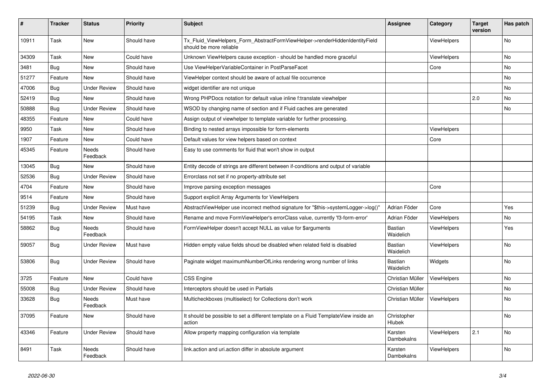| #     | <b>Tracker</b> | <b>Status</b>            | <b>Priority</b> | <b>Subject</b>                                                                                         | <b>Assignee</b>       | Category           | <b>Target</b><br>version | Has patch      |
|-------|----------------|--------------------------|-----------------|--------------------------------------------------------------------------------------------------------|-----------------------|--------------------|--------------------------|----------------|
| 10911 | Task           | <b>New</b>               | Should have     | Tx_Fluid_ViewHelpers_Form_AbstractFormViewHelper->renderHiddenIdentityField<br>should be more reliable |                       | ViewHelpers        |                          | <b>No</b>      |
| 34309 | Task           | <b>New</b>               | Could have      | Unknown ViewHelpers cause exception - should be handled more graceful                                  |                       | <b>ViewHelpers</b> |                          | <b>No</b>      |
| 3481  | Bug            | <b>New</b>               | Should have     | Use ViewHelperVariableContainer in PostParseFacet                                                      |                       | Core               |                          | <b>No</b>      |
| 51277 | Feature        | <b>New</b>               | Should have     | ViewHelper context should be aware of actual file occurrence                                           |                       |                    |                          | <b>No</b>      |
| 47006 | Bug            | <b>Under Review</b>      | Should have     | widget identifier are not unique                                                                       |                       |                    |                          | <b>No</b>      |
| 52419 | Bug            | <b>New</b>               | Should have     | Wrong PHPDocs notation for default value inline f:translate viewhelper                                 |                       |                    | 2.0                      | <b>No</b>      |
| 50888 | Bug            | <b>Under Review</b>      | Should have     | WSOD by changing name of section and if Fluid caches are generated                                     |                       |                    |                          | No             |
| 48355 | Feature        | <b>New</b>               | Could have      | Assign output of viewhelper to template variable for further processing.                               |                       |                    |                          |                |
| 9950  | Task           | <b>New</b>               | Should have     | Binding to nested arrays impossible for form-elements                                                  |                       | <b>ViewHelpers</b> |                          |                |
| 1907  | Feature        | <b>New</b>               | Could have      | Default values for view helpers based on context                                                       |                       | Core               |                          |                |
| 45345 | Feature        | <b>Needs</b><br>Feedback | Should have     | Easy to use comments for fluid that won't show in output                                               |                       |                    |                          |                |
| 13045 | Bug            | New                      | Should have     | Entity decode of strings are different between if-conditions and output of variable                    |                       |                    |                          |                |
| 52536 | <b>Bug</b>     | <b>Under Review</b>      | Should have     | Errorclass not set if no property-attribute set                                                        |                       |                    |                          |                |
| 4704  | Feature        | <b>New</b>               | Should have     | Improve parsing exception messages                                                                     |                       | Core               |                          |                |
| 9514  | Feature        | New                      | Should have     | Support explicit Array Arguments for ViewHelpers                                                       |                       |                    |                          |                |
| 51239 | Bug            | <b>Under Review</b>      | Must have       | AbstractViewHelper use incorrect method signature for "\$this->systemLogger->log()"                    | Adrian Föder          | Core               |                          | Yes            |
| 54195 | Task           | New                      | Should have     | Rename and move FormViewHelper's errorClass value, currently 'f3-form-error'                           | Adrian Föder          | ViewHelpers        |                          | No             |
| 58862 | <b>Bug</b>     | <b>Needs</b><br>Feedback | Should have     | FormViewHelper doesn't accept NULL as value for \$arguments                                            | Bastian<br>Waidelich  | <b>ViewHelpers</b> |                          | Yes            |
| 59057 | Bug            | <b>Under Review</b>      | Must have       | Hidden empty value fields shoud be disabled when related field is disabled                             | Bastian<br>Waidelich  | <b>ViewHelpers</b> |                          | No             |
| 53806 | <b>Bug</b>     | <b>Under Review</b>      | Should have     | Paginate widget maximumNumberOfLinks rendering wrong number of links                                   | Bastian<br>Waidelich  | Widgets            |                          | <b>No</b>      |
| 3725  | Feature        | <b>New</b>               | Could have      | <b>CSS Engine</b>                                                                                      | Christian Müller      | ViewHelpers        |                          | <b>No</b>      |
| 55008 | <b>Bug</b>     | <b>Under Review</b>      | Should have     | Interceptors should be used in Partials                                                                | Christian Müller      |                    |                          | <b>No</b>      |
| 33628 | Bug            | Needs<br>Feedback        | Must have       | Multicheckboxes (multiselect) for Collections don't work                                               | Christian Müller      | <b>ViewHelpers</b> |                          | <b>No</b>      |
| 37095 | Feature        | New                      | Should have     | It should be possible to set a different template on a Fluid TemplateView inside an<br>action          | Christopher<br>Hlubek |                    |                          | <b>No</b>      |
| 43346 | Feature        | <b>Under Review</b>      | Should have     | Allow property mapping configuration via template                                                      | Karsten<br>Dambekalns | <b>ViewHelpers</b> | 2.1                      | N <sub>o</sub> |
| 8491  | Task           | <b>Needs</b><br>Feedback | Should have     | link.action and uri.action differ in absolute argument                                                 | Karsten<br>Dambekalns | ViewHelpers        |                          | <b>No</b>      |